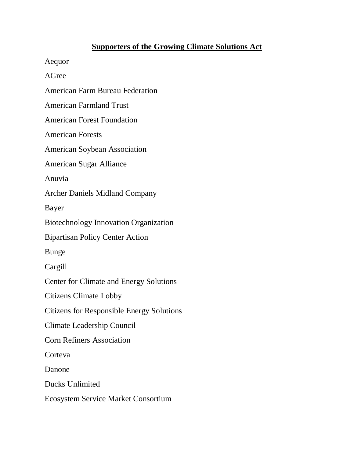## **Supporters of the Growing Climate Solutions Act**

Aequor

AGree

American Farm Bureau Federation

American Farmland Trust

American Forest Foundation

American Forests

American Soybean Association

American Sugar Alliance

Anuvia

Archer Daniels Midland Company

Bayer

Biotechnology Innovation Organization

Bipartisan Policy Center Action

Bunge

Cargill

Center for Climate and Energy Solutions

Citizens Climate Lobby

Citizens for Responsible Energy Solutions

Climate Leadership Council

Corn Refiners Association

**Corteva** 

Danone

Ducks Unlimited

Ecosystem Service Market Consortium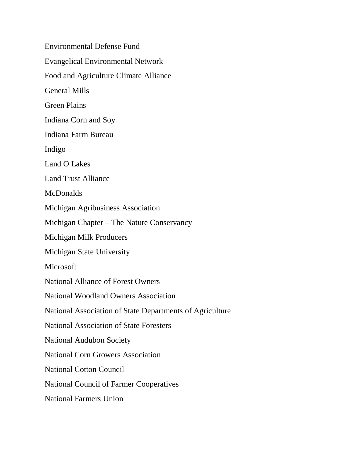Environmental Defense Fund Evangelical Environmental Network Food and Agriculture Climate Alliance General Mills Green Plains Indiana Corn and Soy Indiana Farm Bureau Indigo Land O Lakes Land Trust Alliance **McDonalds** Michigan Agribusiness Association Michigan Chapter – The Nature Conservancy Michigan Milk Producers Michigan State University Microsoft National Alliance of Forest Owners National Woodland Owners Association National Association of State Departments of Agriculture National Association of State Foresters National Audubon Society National Corn Growers Association National Cotton Council National Council of Farmer Cooperatives National Farmers Union